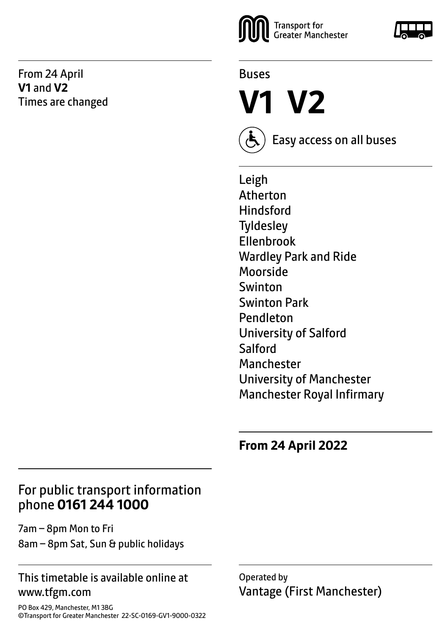From 24 April **V1** and **V2** Times are changed





**V1 V2**



Easy access on all buses

Leigh Atherton **Hindsford Tyldesley** Ellenbrook Wardley Park and Ride Moorside Swinton Swinton Park Pendleton University of Salford **Salford** Manchester University of Manchester Manchester Royal Infirmary

**From 24 April 2022**

# For public transport information phone **0161 244 1000**

7am – 8pm Mon to Fri 8am – 8pm Sat, Sun & public holidays

#### This timetable is available online at www.tfgm.com

Operated by Vantage (First Manchester)

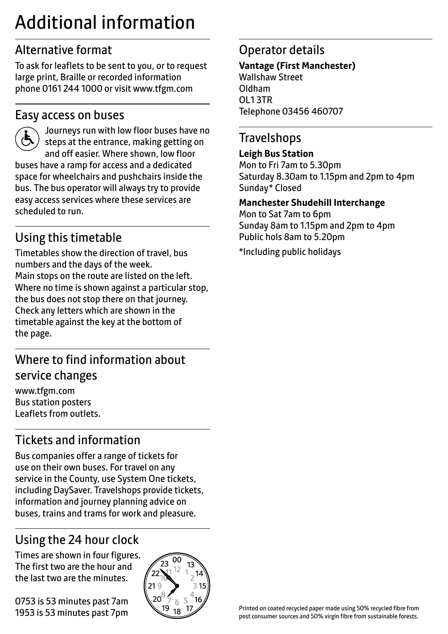# Additional information

# Alternative format

To ask for leaflets to be sent to you, or to request large print, Braille or recorded information phone 0161 244 1000 or visit www.tfgm.com

## Easy access on buses



 Journeys run with low floor buses have no steps at the entrance, making getting on and off easier. Where shown, low floor buses have a ramp for access and a dedicated space for wheelchairs and pushchairs inside the bus. The bus operator will always try to provide easy access services where these services are scheduled to run.

# Using this timetable

Timetables show the direction of travel, bus numbers and the days of the week. Main stops on the route are listed on the left. Where no time is shown against a particular stop, the bus does not stop there on that journey. Check any letters which are shown in the timetable against the key at the bottom of the page.

# Where to find information about service changes

www.tfgm.com Bus station posters Leaflets from outlets.

# Tickets and information

Bus companies offer a range of tickets for use on their own buses. For travel on any service in the County, use System One tickets, including DaySaver. Travelshops provide tickets, information and journey planning advice on buses, trains and trams for work and pleasure.

# Using the 24 hour clock

Times are shown in four figures. The first two are the hour and the last two are the minutes.

0753 is 53 minutes past 7am 1953 is 53 minutes past 7pm



# Operator details

**Vantage (First Manchester)** Wallshaw Street Oldham OL1 3TR Telephone 03456 460707

# **Travelshops**

#### **Leigh Bus Station**

Mon to Fri 7am to 5.30pm Saturday 8.30am to 1.15pm and 2pm to 4pm Sunday\* Closed

#### **Manchester Shudehill Interchange**

Mon to Sat 7am to 6pm Sunday 8am to 1.15pm and 2pm to 4pm Public hols 8am to 5.20pm

\*Including public holidays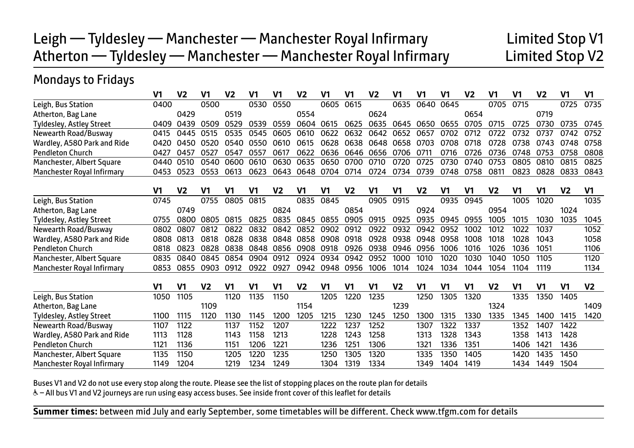# Leigh — Tyldesley — Manchester — Manchester Royal Infirmary Limited Stop V1 Atherton — Tyldesley — Manchester — Manchester Royal Infirmary Limited Stop V2

## Mondays to Fridays

|                                 | V <sub>1</sub> | V <sub>2</sub> | V <sub>1</sub> | V <sub>2</sub>   | V1   | V <sub>1</sub> | V <sub>2</sub> | V <sub>1</sub> | V1             | V <sub>2</sub> | V1             | V <sub>1</sub> | V <sub>1</sub> | V <sub>2</sub> | V <sub>1</sub> | V <sub>1</sub> | V <sub>2</sub> | V <sub>1</sub> | V <sub>1</sub> |
|---------------------------------|----------------|----------------|----------------|------------------|------|----------------|----------------|----------------|----------------|----------------|----------------|----------------|----------------|----------------|----------------|----------------|----------------|----------------|----------------|
| Leigh, Bus Station              | 0400           |                | 0500           |                  | 0530 | 0550           |                | 0605           | 0615           |                | 0635           | 0640           | 0645           |                | 0705           | 0715           |                | 0725           | 0735           |
| Atherton, Bag Lane              |                | 0429           |                | 0519             |      |                | 0554           |                |                | 0624           |                |                |                | 0654           |                |                | 0719           |                |                |
| Tyldesley, Astley Street        | 0409           | 0439           | 0509           | 0529             | 0539 | 0559           | 0604           | 0615           | 0625           | 0635           | 0645           | 0650           | 0655           | 0705           | 0715           | 0725           | 0730           | 0735           | 0745           |
| Newearth Road/Busway            | 0415           | 0445           | 0515           | 0535             | 0545 | 0605           | 0610           | 0622           | 0632           | 0642           | 0652           | 0657           | 0702           | 0712           | 0722           | 0732           | 0737           | 0742           | 0752           |
| Wardley, A580 Park and Ride     | 0420           | 0450           | 0520           | 0540             | 0550 | 0610           | 0615           | 0628           | 0638           | 0648           | 0658           | 0703           | 0708           | 0718           | 0728           | 0738           | 0743           | 0748           | 0758           |
| <b>Pendleton Church</b>         | 0427           | 0457           | 0527           | 0547             | 0557 | 0617           | 0622           | 0636           | 0646           | 0656           | 0706           | 0711           | 0716           | 0726           | 0736           | 0748           | 0753           | 0758           | 0808           |
| Manchester, Albert Square       | 0440           | 0510           | 0540           | 0600             | 0610 | 0630           | 0635           | 0650           | 0700           | 0710           | 0720           | 0725           | 0730           | 0740           | 0753           | 0805           | 0810           | 0815           | 0825           |
| Manchester Royal Infirmary      | 0453           | 0523           | 0553           | 0613             | 0623 | 0643           | 0648           | 0704           | 0714           | 0724           | 0734           | 0739           | 0748           | 0758           | 0811           | 0823           | 0828           | 0833           | 0843           |
|                                 | V1             | V <sub>2</sub> | V <sub>1</sub> | V <sub>1</sub>   | V1   | V <sub>2</sub> | V1             | V <sub>1</sub> | V <sub>2</sub> | V1             | V1             | V <sub>2</sub> | V <sub>1</sub> | V1             | V <sub>2</sub> | V <sub>1</sub> | V <sub>1</sub> | V <sub>2</sub> | V <sub>1</sub> |
| Leigh, Bus Station              | 0745           |                | 0755           | 0805             | 0815 |                | 0835           | 0845           |                | 0905           | 0915           |                | 0935           | 0945           |                | 1005           | 1020           |                | 1035           |
| Atherton, Bag Lane              |                | 0749           |                |                  |      | 0824           |                |                | 0854           |                |                | 0924           |                |                | 0954           |                |                | 1024           |                |
| <b>Tyldesley, Astley Street</b> | 0755           | 0800           | 0805           | 0815             | 0825 | 0835           | 0845           | 0855           | 0905           | 0915           | 0925           | 0935           | 0945           | 0955           | 1005           | 1015           | 1030           | 1035           | 1045           |
| Newearth Road/Busway            | 0802           | 0807           | 0812           | 0822             | 0832 | 0842           | 0852           | 0902           | 0912           | 0922           | 0932           | 0942           | 0952           | 1002           | 1012           | 1022           | 1037           |                | 1052           |
| Wardley, A580 Park and Ride     | 0808           | 0813           | 0818           | 0828             | 0838 | 0848           | 0858           | 0908           | 0918           | 0928           | 0938           | 0948           | 0958           | 1008           | 1018           | 1028           | 1043           |                | 1058           |
| <b>Pendleton Church</b>         | 0818           | 0823           | 0828           | 0838             | 0848 | 0856           | 0908           | 0918           | 0926           | 0938           | 0946           | 0956           | 1006           | 1016           | 1026           | 1036           | 1051           |                | 1106           |
| Manchester, Albert Square       | 0835           | 0840           | 0845           | 0854             | 0904 | 0912           | 0924           | 0934           | 0942           | 0952           | 1000           | 1010           | 1020           | 1030           | 1040           | 1050           | 1105           |                | 1120           |
| Manchester Royal Infirmary      | 0853           | 0855           | 0903           | 0912             | 0922 | 0927           | 0942           | 0948           | 0956           | 1006           | 1014           | 1024           | 1034           | 1044           | 1054           | 1104           | 1119           |                | 1134           |
|                                 | V1             | V <sub>1</sub> | V <sub>2</sub> | V <sub>1</sub>   | V1   | V <sub>1</sub> | V <sub>2</sub> | V1             | V1             | V1             | V <sub>2</sub> | V1             | V1             | V1             | V <sub>2</sub> | V <sub>1</sub> | V <sub>1</sub> | V <sub>1</sub> | V <sub>2</sub> |
| Leigh, Bus Station              | 1050           | 1105           |                | 1120             | 1135 | 1150           |                | 1205           | 1220           | 1235           |                | 1250           | 1305           | 1320           |                | 1335           | 1350           | 1405           |                |
| Atherton, Bag Lane              |                |                | 1109           |                  |      |                | 1154           |                |                |                | 1239           |                |                |                | 1324           |                |                |                | 1409           |
| Tyldesley, Astley Street        | 1100           | 1115           | 1120           | 1130             | 1145 | 1200           | 1205           | 1215           | 1230           | 1245           | 1250           | 1300           | 1315           | 1330           | 1335           | 1345           | 1400           | 1415           | 1420           |
| Newearth Road/Busway            | 1107           | 1122           |                | 1137             | 1152 | 1207           |                | 1222           | 1237           | 1252           |                | 1307           | 1322           | 1337           |                | 1352           | 1407           | 1422           |                |
| Wardley, A580 Park and Ride     | 1113           | 1128           |                | 1143             | 1158 | 1213           |                | 1228           | 1243           | 1258           |                | 1313           | 1328           | 1343           |                | 1358           | 1413           | 1428           |                |
| <b>Pendleton Church</b>         | 1121           | 1136           |                | 115 <sup>′</sup> | 1206 | 1221           |                | 1236           | 1251           | 1306           |                | 1321           | 1336           | 1351           |                | 1406           | 1421           | 1436           |                |
| Manchester, Albert Square       | 1135           | 1150           |                | 1205             | 1220 | 1235           |                | 1250           | 1305           | 1320           |                | 1335           | 1350           | 1405           |                | 1420           | 1435           | 1450           |                |
| Manchester Royal Infirmary      | 1149           | 1204           |                | 1219             | 1234 | 1249           |                | 1304           | 1319           | 1334           |                | 1349           | 1404           | 1419           |                | 1434           | 1449           | 1504           |                |

Buses V1 and V2 do not use every stop along the route. Please see the list of stopping places on the route plan for details

W– All bus V1 and V2 journeys are run using easy access buses. See inside front cover of this leaflet for details

Ī

 $\overline{a}$ **Summer times:** between mid July and early September, some timetables will be different. Check www.tfgm.com for details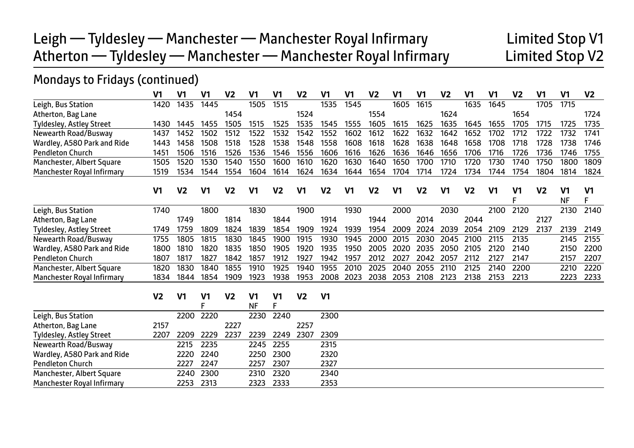# Leigh — Tyldesley — Manchester — Manchester Royal Infirmary **Limited Stop V1**<br>Atherton — Tyldesley — Manchester — Manchester Royal Infirmary **Limited Stop V2** Atherton — Tyldesley — Manchester — Manchester Royal Infirmary

## Mondays to Fridays (continued)

|                                 | V <sub>1</sub> | V <sub>1</sub> | V <sub>1</sub>      | V <sub>2</sub> | V <sub>1</sub>              | V <sub>1</sub>      | V <sub>2</sub> | V <sub>1</sub> | V <sub>1</sub> | V <sub>2</sub> | V <sub>1</sub> | V <sub>1</sub> | V <sub>2</sub> | V <sub>1</sub> | V <sub>1</sub> | V <sub>2</sub> | V <sub>1</sub> | V <sub>1</sub>  | V <sub>2</sub>      |
|---------------------------------|----------------|----------------|---------------------|----------------|-----------------------------|---------------------|----------------|----------------|----------------|----------------|----------------|----------------|----------------|----------------|----------------|----------------|----------------|-----------------|---------------------|
| Leigh, Bus Station              | 1420           | 1435           | 1445                |                | 1505                        | 1515                |                | 1535           | 1545           |                | 1605           | 1615           |                | 1635           | 1645           |                | 1705           | 1715            |                     |
| Atherton, Bag Lane              |                |                |                     | 1454           |                             |                     | 1524           |                |                | 1554           |                |                | 1624           |                |                | 1654           |                |                 | 1724                |
| Tyldesley, Astley Street        | 1430           | 1445           | 1455                | 1505           | 1515                        | 1525                | 1535           | 1545           | 1555           | 1605           | 1615           | 1625           | 1635           | 1645           | 1655           | 1705           | 1715           | 1725            | 1735                |
| Newearth Road/Busway            | 1437           | 1452           | 1502                | 1512           | 1522                        | 1532                | 1542           | 1552           | 1602           | 1612           | 1622           | 1632           | 1642           | 1652           | 1702           | 1712           | 1722           | 1732            | 1741                |
| Wardley, A580 Park and Ride     | 1443           | 1458           | 1508                | 1518           | 1528                        | 1538                | 1548           | 1558           | 1608           | 1618           | 1628           | 1638           | 1648           | 1658           | 1708           | 1718           | 1728           | 1738            | 1746                |
| <b>Pendleton Church</b>         | 1451           | 1506           | 1516                | 1526           | 1536                        | 1546                | 1556           | 1606           | 1616           | 1626           | 1636           | 1646           | 1656           | 1706           | 1716           | 1726           | 1736           | 1746            | 1755                |
| Manchester, Albert Square       | 1505           | 1520           | 1530                | 1540           | 1550                        | 1600                | 1610           | 1620           | 1630           | 1640           | 1650           | 1700           | 1710           | 1720           | 1730           | 1740           | 1750           | 1800            | 1809                |
| Manchester Royal Infirmary      | 1519           | 1534           | 1544                | 1554           | 1604                        | 1614                | 1624           | 1634           | 1644           | 1654           | 1704           | 1714           | 1724           | 1734           | 1744           | 1754           | 1804           | 1814            | 1824                |
|                                 | V1             | V <sub>2</sub> | V1                  | V <sub>2</sub> | V <sub>1</sub>              | V <sub>2</sub>      | V1             | V <sub>2</sub> | V <sub>1</sub> | V <sub>2</sub> | V1             | V <sub>2</sub> | V1             | V <sub>2</sub> | V <sub>1</sub> | V1<br>F        | V <sub>2</sub> | V1<br><b>NF</b> | V <sub>1</sub><br>F |
| Leigh, Bus Station              | 1740           |                | 1800                |                | 1830                        |                     | 1900           |                | 1930           |                | 2000           |                | 2030           |                | 2100           | 2120           |                | 2130            | 2140                |
| Atherton, Bag Lane              |                | 1749           |                     | 1814           |                             | 1844                |                | 1914           |                | 1944           |                | 2014           |                | 2044           |                |                | 2127           |                 |                     |
| <b>Tyldesley, Astley Street</b> | 1749           | 1759           | 1809                | 1824           | 1839                        | 1854                | 1909           | 1924           | 1939           | 1954           | 2009           | 2024           | 2039           | 2054           | 2109           | 2129           | 2137           | 2139            | 2149                |
| Newearth Road/Busway            | 1755           | 1805           | 1815                | 1830           | 1845                        | 1900                | 1915           | 1930           | 1945           | 2000           | 2015           | 2030           | 2045           | 2100           | 2115           | 2135           |                | 2145            | 2155                |
| Wardley, A580 Park and Ride     | 1800           | 1810           | 1820                | 1835           | 1850                        | 1905                | 1920           | 1935           | 1950           | 2005           | 2020           | 2035           | 2050           | 2105           | 2120           | 2140           |                | 2150            | 2200                |
| <b>Pendleton Church</b>         | 1807           | 1817           | 1827                | 1842           | 1857                        | 1912                | 1927           | 1942           | 1957           | 2012           | 2027           | 2042           | 2057           | 2112           | 2127           | 2147           |                | 2157            | 2207                |
| Manchester, Albert Square       | 1820           | 1830           | 1840                | 1855           | 1910                        | 1925                | 1940           | 1955           | 2010           | 2025           | 2040           | 2055           | 2110           | 2125           | 2140           | 2200           |                | 2210            | 2220                |
| Manchester Royal Infirmary      | 1834           | 1844           | 1854                | 1909           | 1923                        | 1938                | 1953           | 2008           | 2023           | 2038           | 2053           | 2108           | 2123           | 2138           | 2153           | 2213           |                | 2223            | 2233                |
|                                 | V <sub>2</sub> | V1             | V <sub>1</sub><br>E | V <sub>2</sub> | V <sub>1</sub><br><b>NF</b> | V <sub>1</sub><br>F | V <sub>2</sub> | V <sub>1</sub> |                |                |                |                |                |                |                |                |                |                 |                     |
| Leigh, Bus Station              |                | 2200           | 2220                |                | 2230                        | 2240                |                | 2300           |                |                |                |                |                |                |                |                |                |                 |                     |
| Atherton, Bag Lane              | 2157           |                |                     | 2227           |                             |                     | 2257           |                |                |                |                |                |                |                |                |                |                |                 |                     |
| <b>Tyldesley, Astley Street</b> | 2207           | 2209           | 2229                | 2237           | 2239                        | 2249                | 2307           | 2309           |                |                |                |                |                |                |                |                |                |                 |                     |
| Newearth Road/Busway            |                | 2215           | 2235                |                | 2245                        | 2255                |                | 2315           |                |                |                |                |                |                |                |                |                |                 |                     |
| Wardley, A580 Park and Ride     |                | 2220           | 2240                |                | 2250                        | 2300                |                | 2320           |                |                |                |                |                |                |                |                |                |                 |                     |
| <b>Pendleton Church</b>         |                | 2227           | 2247                |                | 2257                        | 2307                |                | 2327           |                |                |                |                |                |                |                |                |                |                 |                     |
| Manchester, Albert Square       |                | 2240           | 2300                |                | 2310                        | 2320                |                | 2340           |                |                |                |                |                |                |                |                |                |                 |                     |
| Manchester Royal Infirmary      |                | 2253           | 2313                |                | 2323                        | 2333                |                | 2353           |                |                |                |                |                |                |                |                |                |                 |                     |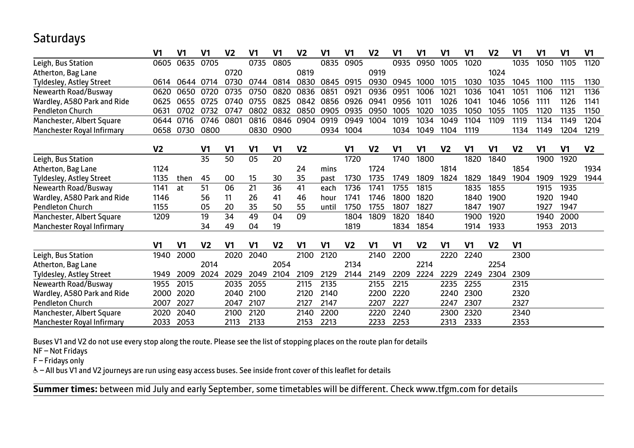## **Saturdays**

|                             | V1             | V <sub>1</sub> | V1             | V <sub>2</sub> | V1             | V1             | V2             | V1             | V1             | V <sub>2</sub> | V1             | V1             | V1             | V1   | V <sub>2</sub> | V1             | V <sub>1</sub> | V <sub>1</sub> | V1             |
|-----------------------------|----------------|----------------|----------------|----------------|----------------|----------------|----------------|----------------|----------------|----------------|----------------|----------------|----------------|------|----------------|----------------|----------------|----------------|----------------|
| Leigh, Bus Station          | 0605           | 0635           | 0705           |                | 0735           | 0805           |                | 0835           | 0905           |                | 0935           | 0950           | 1005           | 1020 |                | 1035           | 1050           | 1105           | 1120           |
| Atherton, Bag Lane          |                |                |                | 0720           |                |                | 0819           |                |                | 0919           |                |                |                |      | 1024           |                |                |                |                |
| Tyldesley, Astley Street    | 0614           | 0644           | 0714           | 0730           | 0744           | 0814           | 0830           | 0845           | 0915           | 0930           | 0945           | 1000           | 1015           | 1030 | 1035           | 1045           | 1100           | 1115           | 1130           |
| Newearth Road/Busway        | 0620           | 0650           | 0720           | 0735           | 0750           | 0820           | 0836           | 0851           | 0921           | 0936           | 0951           | 1006           | 1021           | 1036 | 1041           | 1051           | 1106           | 1121           | 1136           |
| Wardley, A580 Park and Ride | 0625           | 0655           | 0725           | 0740           | 0755           | 0825           | 0842           | 0856           | 0926           | 0941           | 0956           | 1011           | 1026           | 1041 | 1046           | 1056           | 1111           | 1126           | 1141           |
| <b>Pendleton Church</b>     | 0631           | 0702           | 0732           | 0747           | 0802           | 0832           | 0850           | 0905           | 0935           | 0950           | 1005           | 1020           | 1035           | 1050 | 1055           | 1105           | 1120           | 1135           | 1150           |
| Manchester, Albert Square   | 0644           | 0716           | 0746           | 0801           | 0816           | 0846           | 0904           | 0919           | 0949           | 1004           | 1019           | 1034           | 1049           | 1104 | 1109           | 1119           | 1134           | 1149           | 1204           |
| Manchester Royal Infirmary  | 0658           | 0730           | 0800           |                | 0830           | 0900           |                | 0934           | 1004           |                | 1034           | 1049           | 1104           | 1119 |                | 1134           | 1149           | 1204           | 1219           |
|                             | V2             |                | V <sub>1</sub> | V <sub>1</sub> | V1             | V1             | V <sub>2</sub> |                | V1             | V <sub>2</sub> | V1             | V <sub>1</sub> | V <sub>2</sub> | V1   | V <sub>1</sub> | V <sub>2</sub> | V <sub>1</sub> | V <sub>1</sub> | V <sub>2</sub> |
| Leigh, Bus Station          |                |                | 35             | 50             | 05             | 20             |                |                | 1720           |                | 1740           | 1800           |                | 1820 | 1840           |                | 1900           | 1920           |                |
| Atherton, Bag Lane          | 1124           |                |                |                |                |                | 24             | mins           |                | 1724           |                |                | 1814           |      |                | 1854           |                |                | 1934           |
| Tyldesley, Astley Street    | 1135           | then           | 45             | 00             | 15             | 30             | 35             | past           | 1730           | 1735           | 1749           | 1809           | 1824           | 1829 | 1849           | 1904           | 1909           | 1929           | 1944           |
| Newearth Road/Busway        | 1141           | at             | 51             | 06             | 21             | 36             | 41             | each           | 1736           | 1741           | 1755           | 1815           |                | 1835 | 1855           |                | 1915           | 1935           |                |
| Wardley, A580 Park and Ride | 1146           |                | 56             | 11             | 26             | 41             | 46             | hour           | 1741           | 1746           | 1800           | 1820           |                | 1840 | 1900           |                | 1920           | 1940           |                |
| <b>Pendleton Church</b>     | 1155           |                | 05             | 20             | 35             | 50             | 55             | until          | 1750           | 1755           | 1807           | 1827           |                | 1847 | 1907           |                | 1927           | 1947           |                |
| Manchester, Albert Square   | 1209           |                | 19             | 34             | 49             | 04             | 09             |                | 1804           | 1809           | 1820           | 1840           |                | 1900 | 1920           |                | 1940           | 2000           |                |
| Manchester Royal Infirmary  |                |                | 34             | 49             | 04             | 19             |                |                | 1819           |                | 1834           | 1854           |                | 1914 | 1933           |                | 1953           | 2013           |                |
|                             | V <sub>1</sub> | V <sub>1</sub> | V <sub>2</sub> | V <sub>1</sub> | V <sub>1</sub> | V <sub>2</sub> | V <sub>1</sub> | V <sub>1</sub> | V <sub>2</sub> | V <sub>1</sub> | V <sub>1</sub> | V <sub>2</sub> | V <sub>1</sub> | V1   | V <sub>2</sub> | V <sub>1</sub> |                |                |                |
| Leigh, Bus Station          | 1940           | 2000           |                | 2020           | 2040           |                | 2100           | 2120           |                | 2140           | 2200           |                | 2220           | 2240 |                | 2300           |                |                |                |
| Atherton, Bag Lane          |                |                | 2014           |                |                | 2054           |                |                | 2134           |                |                | 2214           |                |      | 2254           |                |                |                |                |
| Tyldesley, Astley Street    | 1949           | 2009           | 2024           | 2029           | 2049           | 2104           | 2109           | 2129           | 2144           | 2149           | 2209           | 2224           | 2229           | 2249 | 2304           | 2309           |                |                |                |
| Newearth Road/Busway        | 1955           | 2015           |                | 2035           | 2055           |                | 2115           | 2135           |                | 2155           | 2215           |                | 2235           | 2255 |                | 2315           |                |                |                |
| Wardley, A580 Park and Ride | 2000           | 2020           |                | 2040           | 2100           |                | 2120           | 2140           |                | 2200           | 2220           |                | 2240           | 2300 |                | 2320           |                |                |                |
| <b>Pendleton Church</b>     | 2007           | 2027           |                | 2047           | 2107           |                | 2127           | 2147           |                | 2207           | 2227           |                | 2247           | 2307 |                | 2327           |                |                |                |
| Manchester, Albert Square   | 2020           | 2040           |                | 2100           | 2120           |                | 2140           | 2200           |                | 2220           | 2240           |                | 2300           | 2320 |                | 2340           |                |                |                |
| Manchester Royal Infirmary  | 2033           | 2053           |                | 2113           | 2133           |                | 2153           | 2213           |                | 2233           | 2253           |                | 2313           | 2333 |                | 2353           |                |                |                |

Buses V1 and V2 do not use every stop along the route. Please see the list of stopping places on the route plan for details

NF – Not Fridays

F – Fridays only

& - All bus V1 and V2 journeys are run using easy access buses. See inside front cover of this leaflet for details

I

 $\overline{a}$ **Summer times:** between mid July and early September, some timetables will be different. Check www.tfgm.com for details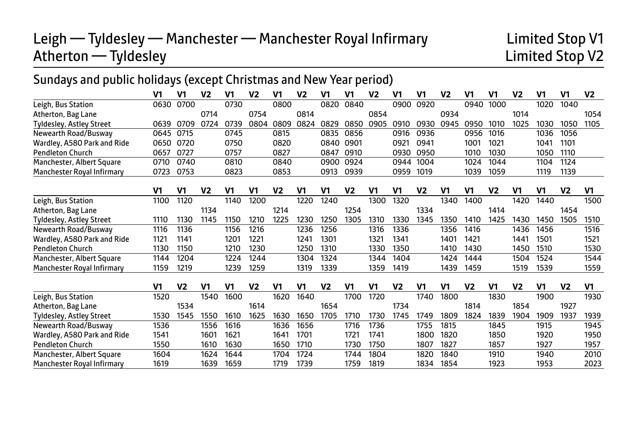# Leigh — Tyldesley — Manchester — Manchester Royal Infirmary **Limited Stop V1**<br>Atherton — Tyldesley **Limited Stop V2**  $Atherton$  — Tyldesley

# Sundays and public holidays (except Christmas and New Year period)

|                                   | V1             | V <sub>1</sub> | V <sub>2</sub> | V1             | V <sub>2</sub> | V1             | V <sub>2</sub> | V <sub>1</sub> | V <sub>1</sub> | V <sub>2</sub> | V1             | V <sub>1</sub> | V <sub>2</sub> | V1             | V <sub>1</sub> | V <sub>2</sub> | V <sub>1</sub> | V <sub>1</sub> | V <sub>2</sub> |
|-----------------------------------|----------------|----------------|----------------|----------------|----------------|----------------|----------------|----------------|----------------|----------------|----------------|----------------|----------------|----------------|----------------|----------------|----------------|----------------|----------------|
| Leigh, Bus Station                | 0630           | 0700           |                | 0730           |                | 0800           |                | 0820           | 0840           |                | 0900           | 0920           |                | 0940           | 1000           |                | 1020           | 1040           |                |
| Atherton, Bag Lane                |                |                | 0714           |                | 0754           |                | 0814           |                |                | 0854           |                |                | 0934           |                |                | 1014           |                |                | 1054           |
| Tyldesley, Astley Street          | 0639           | 0709           | 0724           | 0739           | 0804           | 0809           | 0824           | 0829           | 0850           | 0905           | 0910           | 0930           | 0945           | 0950           | 1010           | 1025           | 1030           | 1050           | 1105           |
| Newearth Road/Busway              | 0645           | 0715           |                | 0745           |                | 0815           |                | 0835           | 0856           |                | 0916           | 0936           |                | 0956           | 1016           |                | 1036           | 1056           |                |
| Wardley, A580 Park and Ride       | 0650           | 0720           |                | 0750           |                | 0820           |                | 0840           | 0901           |                | 0921           | 0941           |                | 1001           | 1021           |                | 1041           | 1101           |                |
| <b>Pendleton Church</b>           | 0657           | 0727           |                | 0757           |                | 0827           |                | 0847           | 0910           |                | 0930           | 0950           |                | 1010           | 1030           |                | 1050           | 1110           |                |
| Manchester, Albert Square         | 0710           | 0740           |                | 0810           |                | 0840           |                | 0900           | 0924           |                | 0944           | 1004           |                | 1024           | 1044           |                | 1104           | 1124           |                |
| Manchester Royal Infirmary        | 0723           | 0753           |                | 0823           |                | 0853           |                | 0913           | 0939           |                | 0959           | 1019           |                | 1039           | 1059           |                | 1119           | 1139           |                |
|                                   | V <sub>1</sub> | V1             | V <sub>2</sub> | V <sub>1</sub> | V1             | V <sub>2</sub> | V1             | V <sub>1</sub> | V <sub>2</sub> | V <sub>1</sub> | V1             | V <sub>2</sub> | V <sub>1</sub> | V1             | V <sub>2</sub> | V1             | V <sub>1</sub> | V <sub>2</sub> | V <sub>1</sub> |
| Leigh, Bus Station                | 1100           | 1120           |                | 1140           | 1200           |                | 1220           | 1240           |                | 1300           | 1320           |                | 1340           | 1400           |                | 1420           | 1440           |                | 1500           |
| Atherton, Bag Lane                |                |                | 1134           |                |                | 1214           |                |                | 1254           |                |                | 1334           |                |                | 1414           |                |                | 1454           |                |
| <b>Tyldesley, Astley Street</b>   | 1110           | 1130           | 1145           | 1150           | 1210           | 1225           | 1230           | 1250           | 1305           | 1310           | 1330           | 1345           | 1350           | 1410           | 1425           | 1430           | 1450           | 1505           | 1510           |
| Newearth Road/Busway              | 1116           | 1136           |                | 1156           | 1216           |                | 1236           | 1256           |                | 1316           | 1336           |                | 1356           | 1416           |                | 1436           | 1456           |                | 1516           |
| Wardley, A580 Park and Ride       | 1121           | 1141           |                | 1201           | 1221           |                | 1241           | 1301           |                | 1321           | 1341           |                | 1401           | 1421           |                | 1441           | 1501           |                | 1521           |
| <b>Pendleton Church</b>           | 1130           | 1150           |                | 1210           | 1230           |                | 1250           | 1310           |                | 1330           | 1350           |                | 1410           | 1430           |                | 1450           | 1510           |                | 1530           |
| Manchester, Albert Square         | 1144           | 1204           |                | 1224           | 1244           |                | 1304           | 1324           |                | 1344           | 1404           |                | 1424           | 1444           |                | 1504           | 1524           |                | 1544           |
| <b>Manchester Roval Infirmary</b> | 1159           | 1219           |                | 1239           | 1259           |                | 1319           | 1339           |                | 1359           | 1419           |                | 1439           | 1459           |                | 1519           | 1539           |                | 1559           |
|                                   | V <sub>1</sub> | V <sub>2</sub> | V <sub>1</sub> | V <sub>1</sub> | V <sub>2</sub> | V1             | V1             | V <sub>2</sub> | V <sub>1</sub> | V <sub>1</sub> | V <sub>2</sub> | V <sub>1</sub> | V1             | V <sub>2</sub> | V <sub>1</sub> | V <sub>2</sub> | V <sub>1</sub> | V <sub>2</sub> | V <sub>1</sub> |
| Leigh, Bus Station                | 1520           |                | 1540           | 1600           |                | 1620           | 1640           |                | 1700           | 1720           |                | 1740           | 1800           |                | 1830           |                | 1900           |                | 1930           |
| Atherton, Bag Lane                |                | 1534           |                |                | 1614           |                |                | 1654           |                |                | 1734           |                |                | 1814           |                | 1854           |                | 1927           |                |
| Tyldesley, Astley Street          | 1530           | 1545           | 1550           | 1610           | 1625           | 1630           | 1650           | 1705           | 1710           | 1730           | 1745           | 1749           | 1809           | 1824           | 1839           | 1904           | 1909           | 1937           | 1939           |
| Newearth Road/Busway              | 1536           |                | 1556           | 1616           |                | 1636           | 1656           |                | 1716           | 1736           |                | 1755           | 1815           |                | 1845           |                | 1915           |                | 1945           |
| Wardley, A580 Park and Ride       | 1541           |                | 1601           | 1621           |                | 1641           | 1701           |                | 1721           | 1741           |                | 1800           | 1820           |                | 1850           |                | 1920           |                | 1950           |
| <b>Pendleton Church</b>           | 1550           |                | 1610           | 1630           |                | 1650           | 1710           |                | 1730           | 1750           |                | 1807           | 1827           |                | 1857           |                | 1927           |                | 1957           |
| Manchester, Albert Square         | 1604           |                | 1624           | 1644           |                | 1704           | 1724           |                | 1744           | 1804           |                | 1820           | 1840           |                | 1910           |                | 1940           |                | 2010           |
| <b>Manchester Roval Infirmary</b> | 1619           |                | 1639           | 1659           |                | 1719           | 1739           |                | 1759           | 1819           |                | 1834           | 1854           |                | 1923           |                | 1953           |                | 2023           |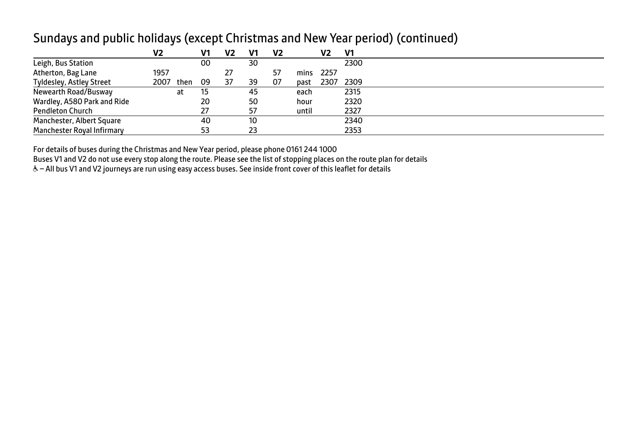|                             | V <sub>2</sub> |      | V1 | V2 | V1 | V2 |       | V2    | V1   |  |
|-----------------------------|----------------|------|----|----|----|----|-------|-------|------|--|
| Leigh, Bus Station          |                |      | 00 |    | 30 |    |       |       | 2300 |  |
| Atherton, Bag Lane          | 1957           |      |    | 27 |    | 57 | mins  | -2257 |      |  |
| Tyldesley, Astley Street    | 2007           | then | 09 | 37 | 39 | 07 | past  | 2307  | 2309 |  |
| Newearth Road/Busway        |                | at   | 15 |    | 45 |    | each  |       | 2315 |  |
| Wardley, A580 Park and Ride |                |      | 20 |    | 50 |    | hour  |       | 2320 |  |
| <b>Pendleton Church</b>     |                |      | 27 |    | 57 |    | until |       | 2327 |  |
| Manchester, Albert Square   |                |      | 40 |    | 10 |    |       |       | 2340 |  |
| Manchester Royal Infirmary  |                |      | 53 |    | 23 |    |       |       | 2353 |  |

#### Sundays and public holidays (except Christmas and New Year period) (continued)

For details of buses during the Christmas and New Year period, please phone 0161 244 1000

Buses V1 and V2 do not use every stop along the route. Please see the list of stopping places on the route plan for details

& - All bus V1 and V2 journeys are run using easy access buses. See inside front cover of this leaflet for details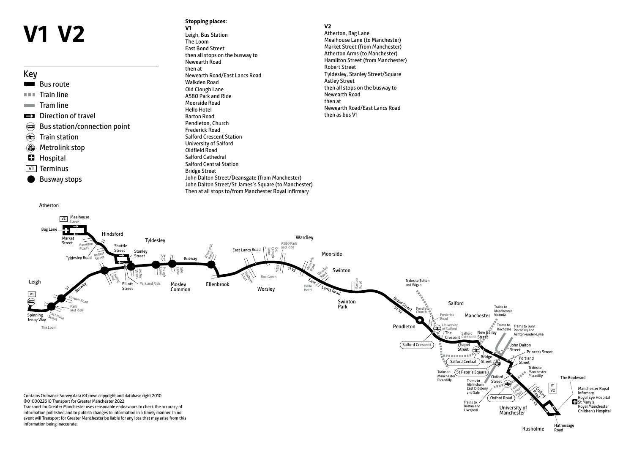# **V1 V2**

#### Key

- **Bus route**
- **Train line**
- **Tram line**
- **EX** Direction of travel
- Bus station/connection point
- **E** Train station
- **Metrolink stop**
- **Hospital**
- **V1** Terminus

Atherton

Busway stops

#### **Stopping places: V1**

Leigh, Bus Station The Loom East Bond Street then all stops on the busway to Newearth Road then at Newearth Road/East Lancs Road Walkden Road Old Clough Lane A580 Park and Ride Moorside Road Hello Hotel Barton Road Pendleton, Church Frederick Road Salford Crescent Station University of Salford Oldfield Road Salford Cathedral Salford Central Station Bridge Street John Dalton Street/Deansgate (from Manchester) John Dalton Street/St James's Square (to Manchester) Then at all stops to/from Manchester Royal Infirmary

#### **V2**

Atherton, Bag Lane Mealhouse Lane (to Manchester) Market Street (from Manchester) Atherton Arms (to Manchester) Hamilton Street (from Manchester) Robert Street Tyldesley, Stanley Street/Square Astley Street then all stops on the busway to Newearth Road then at Newearth Road/East Lancs Road then as bus V1

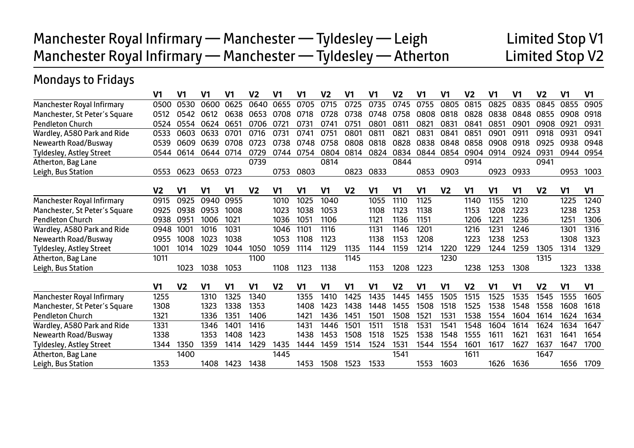| Manchester Royal Infirmary — Manchester — Tyldesley — Leigh    | Limited Stop V1 |
|----------------------------------------------------------------|-----------------|
| Manchester Royal Infirmary — Manchester — Tyldesley — Atherton | Limited Stop V2 |

# Mondays to Fridays

|                                 | V1             | V1             | V1             | V1             | V <sub>2</sub> | V1             | V1             | V <sub>2</sub> | V1             | V1             | V2             | V1   | V <sub>1</sub> | V2             | V <sub>1</sub> | V1             | V <sub>2</sub> | V <sub>1</sub> | V <sub>1</sub> |
|---------------------------------|----------------|----------------|----------------|----------------|----------------|----------------|----------------|----------------|----------------|----------------|----------------|------|----------------|----------------|----------------|----------------|----------------|----------------|----------------|
| Manchester Royal Infirmary      | 0500           | 0530           | 0600           | 0625           | 0640           | 0655           | 0705           | 0715           | 0725           | 0735           | 0745           | 0755 | 0805           | 0815           | 0825           | 0835           | 0845           | 0855           | 0905           |
| Manchester, St Peter's Square   | 0512           | 0542           | 0612           | 0638           | 0653           | 0708           | 0718           | 0728           | 0738           | 0748           | 0758           | 0808 | 0818           | 0828           | 0838           | 0848           | 0855           | 0908           | 0918           |
| <b>Pendleton Church</b>         | 0524           | 0554           | 0624           | 0651           | 0706           | 0721           | 0731           | 0741           | 0751           | 0801           | 0811           | 0821 | 0831           | 0841           | 0851           | 0901           | 0908           | 0921           | 0931           |
| Wardley, A580 Park and Ride     | 0533           | 0603           | 0633           | 0701           | 0716           | 0731           | 0741           | 0751           | 0801           | 0811           | 082            | 0831 | 0841           | 0851           | 0901           | 0911           | 0918           | 0931           | 0941           |
| Newearth Road/Busway            | 0539           | 0609           | 0639           | 0708           | 0723           | 0738           | 0748           | 0758           | 0808           | 0818           | 0828           | 0838 | 0848           | 0858           | 0908           | 0918           | 0925           | 0938           | 0948           |
| Tyldesley, Astley Street        | 0544           | 0614           | 0644           | 0714           | 0729           | 0744           | 0754           | 0804           | 0814           | 0824           | 0834           | 0844 | 0854           | 0904           | 0914           | 0924           | 0931           | 0944           | 0954           |
| Atherton, Bag Lane              |                |                |                |                | 0739           |                |                | 0814           |                |                | 0844           |      |                | 0914           |                |                | 0941           |                |                |
| Leigh, Bus Station              | 0553           | 0623           | 0653           | 0723           |                | 0753           | 0803           |                | 0823           | 0833           |                | 0853 | 0903           |                | 0923           | 0933           |                | 0953           | 1003           |
|                                 | V <sub>2</sub> | V1             | V1             | V1             | V <sub>2</sub> | V1             | V1             | V <sub>1</sub> | V <sub>2</sub> | V1             | V1             | V1   | V <sub>2</sub> | V1             | V1             | V1             | V <sub>2</sub> | V <sub>1</sub> | V1             |
| Manchester Royal Infirmary      | 0915           | 0925           | 0940           | 0955           |                | 1010           | 1025           | 1040           |                | 1055           | 1110           | 1125 |                | 1140           | 1155           | 1210           |                | 1225           | 1240           |
| Manchester, St Peter's Square   | 0925           | 0938           | 0953           | 1008           |                | 1023           | 1038           | 1053           |                | 1108           | 1123           | 1138 |                | 1153           | 1208           | 1223           |                | 1238           | 1253           |
| <b>Pendleton Church</b>         | 0938           | 095'           | 1006           | 1021           |                | 1036           | 1051           | 1106           |                | 1121           | 1136           | 1151 |                | 1206           | 1221           | 1236           |                | 1251           | 1306           |
| Wardley, A580 Park and Ride     | 0948           | 1001           | 1016           | 1031           |                | 1046           | 1101           | 1116           |                | 1131           | 1146           | 1201 |                | 1216           | 1231           | 1246           |                | 1301           | 1316           |
| Newearth Road/Busway            | 0955           | 1008           | 1023           | 1038           |                | 1053           | 1108           | 1123           |                | 1138           | 1153           | 1208 |                | 1223           | 1238           | 1253           |                | 1308           | 1323           |
| <b>Tyldesley, Astley Street</b> | 1001           | 1014           | 1029           | 1044           | 1050           | 1059           | 1114           | 1129           | 1135           | 1144           | 1159           | 1214 | 1220           | 1229           | 1244           | 1259           | 1305           | 1314           | 1329           |
| Atherton, Bag Lane              | 1011           |                |                |                | 1100           |                |                |                | 1145           |                |                |      | 1230           |                |                |                | 1315           |                |                |
| Leigh, Bus Station              |                | 1023           | 1038           | 1053           |                | 1108           | 1123           | 1138           |                | 1153           | 1208           | 1223 |                | 1238           | 1253           | 1308           |                | 1323           | 1338           |
|                                 |                |                |                |                |                |                |                |                |                |                |                |      |                |                |                |                |                |                |                |
|                                 | V <sub>1</sub> | V <sub>2</sub> | V <sub>1</sub> | V <sub>1</sub> | V1             | V <sub>2</sub> | V <sub>1</sub> | V <sub>1</sub> | V1             | V <sub>1</sub> | V <sub>2</sub> | V1   | V <sub>1</sub> | V <sub>2</sub> | V <sub>1</sub> | V <sub>1</sub> | V <sub>2</sub> | V <sub>1</sub> | V <sub>1</sub> |
| Manchester Royal Infirmary      | 1255           |                | 1310           | 1325           | 1340           |                | 1355           | 1410           | 1425           | 1435           | 1445           | 1455 | 1505           | 1515           | 1525           | 1535           | 1545           | 1555           | 1605           |
| Manchester, St Peter's Square   | 1308           |                | 1323           | 1338           | 1353           |                | 1408           | 1423           | 1438           | 1448           | 1455           | 1508 | 1518           | 1525           | 1538           | 1548           | 1558           | 1608           | 1618           |
| <b>Pendleton Church</b>         | 1321           |                | 1336           | 1351           | 1406           |                | 1421           | 1436           | 1451           | 1501           | 1508           | 1521 | 1531           | 1538           | 1554           | 1604           | 1614           | 1624           | 1634           |
| Wardley, A580 Park and Ride     | 1331           |                | 1346           | 1401           | 1416           |                | 1431           | 1446           | 1501           | 1511           | 1518           | 1531 | 1541           | 1548           | 1604           | 1614           | 1624           | 1634           | 1647           |
| Newearth Road/Busway            | 1338           |                | 1353           | 1408           | 1423           |                | 1438           | 1453           | 1508           | 1518           | 1525           | 1538 | 1548           | 1555           | 1611           | 1621           | 1631           | 1641           | 1654           |
| <b>Tyldesley, Astley Street</b> | 1344           | 1350           | 1359           | 1414           | 1429           | 1435           | 1444           | 1459           | 1514           | 1524           | 1531           | 1544 | 1554           | 1601           | 1617           | 1627           | 1637           | 1647           | 1700           |
| Atherton, Bag Lane              |                | 1400           |                |                |                | 1445           |                |                |                |                | 1541           |      |                | 1611           |                |                | 1647           |                |                |
| Leigh, Bus Station              | 1353           |                | 1408           | 1423           | 1438           |                | 1453           | 1508           | 1523           | 1533           |                | 1553 | 1603           |                | 1626           | 1636           |                | 1656           | 1709           |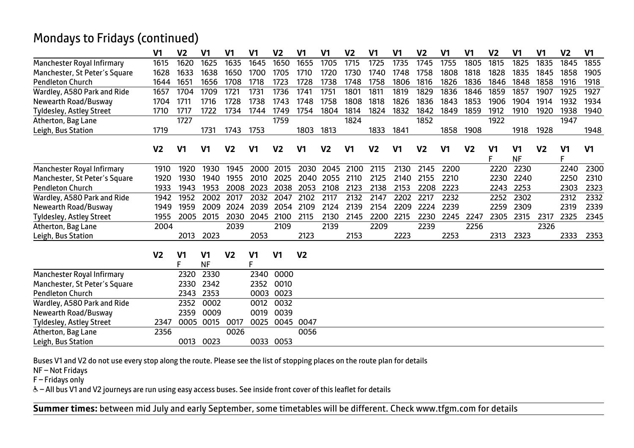## Mondays to Fridays (continued)

|                                 | V <sub>1</sub> | V <sub>2</sub>      | V <sub>1</sub>              | V1             | V1      | V <sub>2</sub> | V1             | V <sub>1</sub> | V <sub>2</sub> | V <sub>1</sub> | V <sub>1</sub> | V <sub>2</sub> | V1             | V <sub>1</sub> | V <sub>2</sub>      | V <sub>1</sub>              | V <sub>1</sub> | V <sub>2</sub>      | V <sub>1</sub> |
|---------------------------------|----------------|---------------------|-----------------------------|----------------|---------|----------------|----------------|----------------|----------------|----------------|----------------|----------------|----------------|----------------|---------------------|-----------------------------|----------------|---------------------|----------------|
| Manchester Royal Infirmary      | 1615           | 1620                | 1625                        | 1635           | 1645    | 1650           | 1655           | 1705           | 1715           | 1725           | 1735           | 1745           | 1755           | 1805           | 1815                | 1825                        | 1835           | 1845                | 1855           |
| Manchester, St Peter's Square   | 1628           | 1633                | 1638                        | 1650           | 1700    | 1705           | 1710           | 1720           | 1730           | 1740           | 1748           | 1758           | 1808           | 1818           | 1828                | 1835                        | 1845           | 1858                | 1905           |
| <b>Pendleton Church</b>         | 1644           | 1651                | 1656                        | 1708           | 1718    | 1723           | 1728           | 1738           | 1748           | 1758           | 1806           | 1816           | 1826           | 1836           | 1846                | 1848                        | 1858           | 1916                | 1918           |
| Wardley, A580 Park and Ride     | 1657           | 1704                | 1709                        | 1721           | 1731    | 1736           | 1741           | 1751           | 1801           | 1811           | 1819           | 1829           | 1836           | 1846           | 1859                | 1857                        | 1907           | 1925                | 1927           |
| Newearth Road/Busway            | 1704           | 1711                | 1716                        | 1728           | 1738    | 1743           | 1748           | 1758           | 1808           | 1818           | 1826           | 1836           | 1843           | 1853           | 1906                | 1904                        | 1914           | 1932                | 1934           |
| <b>Tyldesley, Astley Street</b> | 1710           | 1717                | 1722                        | 1734           | 1744    | 1749           | 1754           | 1804           | 1814           | 1824           | 1832           | 1842           | 1849           | 1859           | 1912                | 1910                        | 1920           | 1938                | 1940           |
| Atherton, Bag Lane              |                | 1727                |                             |                |         | 1759           |                |                | 1824           |                |                | 1852           |                |                | 1922                |                             |                | 1947                |                |
| Leigh, Bus Station              | 1719           |                     | 1731                        | 1743           | 1753    |                | 1803           | 1813           |                | 1833           | 1841           |                | 1858           | 1908           |                     | 1918                        | 1928           |                     | 1948           |
|                                 | V2             | V1                  | V1                          | V <sub>2</sub> | V1      | V <sub>2</sub> | V1             | V <sub>2</sub> | V1             | V <sub>2</sub> | V <sub>1</sub> | V <sub>2</sub> | V <sub>1</sub> | V <sub>2</sub> | V <sub>1</sub><br>F | V <sub>1</sub><br><b>NF</b> | V <sub>2</sub> | V <sub>1</sub><br>F | V <sub>1</sub> |
| Manchester Royal Infirmary      | 1910           | 1920                | 1930                        | 1945           | 2000    | 2015           | 2030           | 2045           | 2100           | 2115           | 2130           | 2145           | 2200           |                | 2220                | 2230                        |                | 2240                | 2300           |
| Manchester, St Peter's Square   | 1920           | 1930                | 1940                        | 1955           | 2010    | 2025           | 2040           | 2055           | 2110           | 2125           | 2140           | 2155           | 2210           |                | 2230                | 2240                        |                | 2250                | 2310           |
| <b>Pendleton Church</b>         | 1933           | 1943                | 1953                        | 2008           | 2023    | 2038           | 2053           | 2108           | 2123           | 2138           | 2153           | 2208           | 2223           |                | 2243                | 2253                        |                | 2303                | 2323           |
| Wardley, A580 Park and Ride     | 1942           | 1952                | 2002                        | 2017           | 2032    | 2047           | 2102           | 2117           | 2132           | 2147           | 2202           | 2217           | 2232           |                | 2252                | 2302                        |                | 2312                | 2332           |
| Newearth Road/Busway            | 1949           | 1959                | 2009                        | 2024           | 2039    | 2054           | 2109           | 2124           | 2139           | 2154           | 2209           | 2224           | 2239           |                | 2259                | 2309                        |                | 2319                | 2339           |
| Tyldesley, Astley Street        | 1955           | 2005                | 2015                        | 2030           | 2045    | 2100           | 2115           | 2130           | 2145           | 2200           | 2215           | 2230           | 2245           | 2247           | 2305                | 2315                        | 2317           | 2325                | 2345           |
| Atherton, Bag Lane              | 2004           |                     |                             | 2039           |         | 2109           |                | 2139           |                | 2209           |                | 2239           |                | 2256           |                     |                             | 2326           |                     |                |
| Leigh, Bus Station              |                | 2013                | 2023                        |                | 2053    |                | 2123           |                | 2153           |                | 2223           |                | 2253           |                | 2313                | 2323                        |                | 2333                | 2353           |
|                                 | V <sub>2</sub> | V <sub>1</sub><br>F | V <sub>1</sub><br><b>NF</b> | V <sub>2</sub> | V1<br>F | V <sub>1</sub> | V <sub>2</sub> |                |                |                |                |                |                |                |                     |                             |                |                     |                |
| Manchester Royal Infirmary      |                | 2320                | 2330                        |                | 2340    | 0000           |                |                |                |                |                |                |                |                |                     |                             |                |                     |                |
| Manchester, St Peter's Square   |                | 2330                | 2342                        |                | 2352    | 0010           |                |                |                |                |                |                |                |                |                     |                             |                |                     |                |
| <b>Pendleton Church</b>         |                | 2343                | 2353                        |                | 0003    | 0023           |                |                |                |                |                |                |                |                |                     |                             |                |                     |                |
| Wardley, A580 Park and Ride     |                | 2352                | 0002                        |                | 0012    | 0032           |                |                |                |                |                |                |                |                |                     |                             |                |                     |                |
| Newearth Road/Busway            |                | 2359                | 0009                        |                | 0019    | 0039           |                |                |                |                |                |                |                |                |                     |                             |                |                     |                |
| <b>Tyldesley, Astley Street</b> | 2347           | 0005                | 0015                        | 0017           | 0025    | 0045           | 0047           |                |                |                |                |                |                |                |                     |                             |                |                     |                |
| Atherton, Bag Lane              | 2356           |                     |                             | 0026           |         |                | 0056           |                |                |                |                |                |                |                |                     |                             |                |                     |                |
| Leigh, Bus Station              |                | 0013                | 0023                        |                |         | 0033 0053      |                |                |                |                |                |                |                |                |                     |                             |                |                     |                |

Buses V1 and V2 do not use every stop along the route. Please see the list of stopping places on the route plan for details

NF – Not Fridays

 $F$  – Fridays only

W– All bus V1 and V2 journeys are run using easy access buses. See inside front cover of this leaflet for details

I

 $\overline{a}$ **Summer times:** between mid July and early September, some timetables will be different. Check www.tfgm.com for details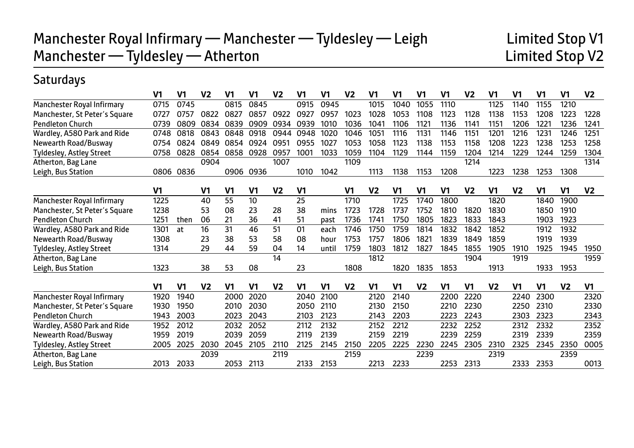# **Saturdays**

|                               | V <sub>1</sub> | V1             | V <sub>2</sub> | V1             | V <sub>1</sub> | V <sub>2</sub> | V1             | V1    | V <sub>2</sub> | V <sub>1</sub>   | V <sub>1</sub> | V <sub>1</sub>   | V <sub>1</sub> | V <sub>2</sub> | V1               | V1             | V <sub>1</sub> | V <sub>1</sub> | V <sub>2</sub> |
|-------------------------------|----------------|----------------|----------------|----------------|----------------|----------------|----------------|-------|----------------|------------------|----------------|------------------|----------------|----------------|------------------|----------------|----------------|----------------|----------------|
| Manchester Royal Infirmary    | 0715           | 0745           |                | 0815           | 0845           |                | 0915           | 0945  |                | 1015             | 1040           | 1055             | 1110           |                | 1125             | 1140           | 1155           | 1210           |                |
| Manchester, St Peter's Square | 0727           | 0757           | 0822           | 0827           | 0857           | 0922           | 0927           | 0957  | 1023           | 1028             | 1053           | 1108             | 1123           | 1128           | 1138             | 1153           | 1208           | 1223           | 1228           |
| <b>Pendleton Church</b>       | 0739           | 0809           | 0834           | 0839           | 0909           | 0934           | 0939           | 1010  | 1036           | 104 <sup>1</sup> | 1106           | 1121             | 1136           | 1141           | 1151             | 1206           | 1221           | 1236           | 1241           |
| Wardley, A580 Park and Ride   | 0748           | 0818           | 0843           | 0848           | 0918           | 0944           | 0948           | 1020  | 1046           | 1051             | 1116           | 113 <sup>′</sup> | 1146           | 1151           | 120 <sup>°</sup> | 1216           | 1231           | 1246           | 1251           |
| Newearth Road/Busway          | 0754           | 0824           | 0849           | 0854           | 0924           | 0951           | 0955           | 1027  | 1053           | 1058             | 1123           | 1138             | 1153           | 1158           | 1208             | 1223           | 1238           | 1253           | 1258           |
| Tyldesley, Astley Street      | 0758           | 0828           | 0854           | 0858           | 0928           | 0957           | 1001           | 1033  | 1059           | 1104             | 1129           | 1144             | 1159           | 1204           | 1214             | 1229           | 1244           | 1259           | 1304           |
| Atherton, Bag Lane            |                |                | 0904           |                |                | 1007           |                |       | 1109           |                  |                |                  |                | 1214           |                  |                |                |                | 1314           |
| Leigh, Bus Station            | 0806           | 0836           |                | 0906           | 0936           |                | 1010           | 1042  |                | 1113             | 1138           | 1153             | 1208           |                | 1223             | 1238           | 1253           | 1308           |                |
|                               | V <sub>1</sub> |                | V1             | V <sub>1</sub> | V <sub>1</sub> | V <sub>2</sub> | V1             |       | V1             | V <sub>2</sub>   | V <sub>1</sub> | V1               | V1             | V <sub>2</sub> | V1               | V <sub>2</sub> | V <sub>1</sub> | V <sub>1</sub> | V <sub>2</sub> |
| Manchester Royal Infirmary    | 1225           |                | 40             | 55             | 10             |                | 25             |       | 1710           |                  | 1725           | 1740             | 1800           |                | 1820             |                | 1840           | 1900           |                |
| Manchester, St Peter's Square | 1238           |                | 53             | 08             | 23             | 28             | 38             | mins  | 1723           | 1728             | 1737           | 1752             | 1810           | 1820           | 1830             |                | 1850           | 1910           |                |
| <b>Pendleton Church</b>       | 1251           | then           | 06             | 21             | 36             | 41             | 51             | past  | 1736           | 1741             | 1750           | 1805             | 1823           | 1833           | 1843             |                | 1903           | 1923           |                |
| Wardley, A580 Park and Ride   | 1301           | at             | 16             | 31             | 46             | 51             | 01             | each  | 1746           | 1750             | 1759           | 1814             | 1832           | 1842           | 1852             |                | 1912           | 1932           |                |
| Newearth Road/Busway          | 1308           |                | 23             | 38             | 53             | 58             | 08             | hour  | 1753           | 1757             | 1806           | 1821             | 1839           | 1849           | 1859             |                | 1919           | 1939           |                |
| Tyldesley, Astley Street      | 1314           |                | 29             | 44             | 59             | 04             | 14             | until | 1759           | 1803             | 1812           | 1827             | 1845           | 1855           | 1905             | 1910           | 1925           | 1945           | 1950           |
| Atherton, Bag Lane            |                |                |                |                |                | 14             |                |       |                | 1812             |                |                  |                | 1904           |                  | 1919           |                |                | 1959           |
| Leigh, Bus Station            | 1323           |                | 38             | 53             | 08             |                | 23             |       | 1808           |                  | 1820           | 1835             | 1853           |                | 1913             |                | 1933           | 1953           |                |
|                               | V <sub>1</sub> | V <sub>1</sub> | V <sub>2</sub> | V <sub>1</sub> | V <sub>1</sub> | V <sub>2</sub> | V <sub>1</sub> | V1    | V <sub>2</sub> | V <sub>1</sub>   | V <sub>1</sub> | V <sub>2</sub>   | V <sub>1</sub> | V1             | V <sub>2</sub>   | V1             | V <sub>1</sub> | V <sub>2</sub> | V <sub>1</sub> |
| Manchester Royal Infirmary    | 1920           | 1940           |                | 2000           | 2020           |                | 2040           | 2100  |                | 2120             | 2140           |                  | 2200           | 2220           |                  | 2240           | 2300           |                | 2320           |
| Manchester, St Peter's Square | 1930           | 1950           |                | 2010           | 2030           |                | 2050           | 2110  |                | 2130             | 2150           |                  | 2210           | 2230           |                  | 2250           | 2310           |                | 2330           |
| <b>Pendleton Church</b>       | 1943           | 2003           |                | 2023           | 2043           |                | 2103           | 2123  |                | 2143             | 2203           |                  | 2223           | 2243           |                  | 2303           | 2323           |                | 2343           |
| Wardley, A580 Park and Ride   | 1952           | 2012           |                | 2032           | 2052           |                | 2112           | 2132  |                | 2152             | 2212           |                  | 2232           | 2252           |                  | 2312           | 2332           |                | 2352           |
| Newearth Road/Busway          | 1959           | 2019           |                | 2039           | 2059           |                | 2119           | 2139  |                | 2159             | 2219           |                  | 2239           | 2259           |                  | 2319           | 2339           |                | 2359           |
| Tyldesley, Astley Street      | 2005           | 2025           | 2030           | 2045           | 2105           | 2110           | 2125           | 2145  | 2150           | 2205             | 2225           | 2230             | 2245           | 2305           | 2310             | 2325           | 2345           | 2350           | 0005           |
| Atherton, Bag Lane            |                |                | 2039           |                |                | 2119           |                |       | 2159           |                  |                | 2239             |                |                | 2319             |                |                | 2359           |                |
| Leigh, Bus Station            | 2013           | 2033           |                | 2053           | 2113           |                | 2133           | 2153  |                | 2213             | 2233           |                  | 2253           | 2313           |                  | 2333           | 2353           |                | 0013           |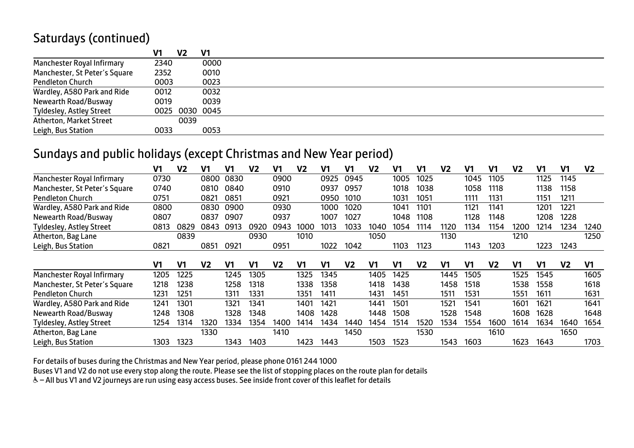# Saturdays (continued)

|                                 | V1   | V <sub>2</sub> | V1             |  |
|---------------------------------|------|----------------|----------------|--|
| Manchester Royal Infirmary      | 2340 |                | 0000           |  |
| Manchester, St Peter's Square   | 2352 |                | 0010           |  |
| <b>Pendleton Church</b>         | 0003 |                | 0023           |  |
| Wardley, A580 Park and Ride     | 0012 |                | 0032           |  |
| Newearth Road/Busway            | 0019 |                | 0039           |  |
| <b>Tyldesley, Astley Street</b> |      |                | 0025 0030 0045 |  |
| Atherton, Market Street         |      | 0039           |                |  |
| Leigh, Bus Station              | 0033 |                | 0053           |  |

#### Sundays and public holidays (except Christmas and New Year period)

|                                 | V1   | V <sub>2</sub> | V1             | V1   | V2   | V1   | V2   | V1   | V1             | V2   | V1   | V1             | V <sub>2</sub> | V1   | V1             | V2   | V1             | V1             | V2   |
|---------------------------------|------|----------------|----------------|------|------|------|------|------|----------------|------|------|----------------|----------------|------|----------------|------|----------------|----------------|------|
| Manchester Royal Infirmary      | 0730 |                | 0800           | 0830 |      | 0900 |      | 0925 | 0945           |      | 1005 | 1025           |                | 1045 | 1105           |      | 1125           | 1145           |      |
| Manchester, St Peter's Square   | 0740 |                | 0810           | 0840 |      | 0910 |      | 0937 | 0957           |      | 1018 | 1038           |                | 1058 | 1118           |      | 1138           | 1158           |      |
| <b>Pendleton Church</b>         | 0751 |                | 0821           | 0851 |      | 0921 |      | 0950 | 1010           |      | 1031 | 1051           |                | 1111 | 1131           |      | 1151           | 1211           |      |
| Wardley, A580 Park and Ride     | 0800 |                | 0830           | 0900 |      | 0930 |      | 1000 | 1020           |      | 1041 | 1101           |                | 1121 | 1141           |      | 1201           | 1221           |      |
| Newearth Road/Busway            | 0807 |                | 0837           | 0907 |      | 0937 |      | 1007 | 1027           |      | 1048 | 1108           |                | 1128 | 1148           |      | 1208           | 1228           |      |
| <b>Tyldesley, Astley Street</b> | 0813 | 0829           | 0843           | 0913 | 0920 | 0943 | 1000 | 1013 | 1033           | 1040 | 1054 | 1114           | 1120           | 1134 | 1154           | 1200 | 1214           | 1234           | 1240 |
| Atherton, Bag Lane              |      | 0839           |                |      | 0930 |      | 1010 |      |                | 1050 |      |                | 1130           |      |                | 1210 |                |                | 1250 |
| Leigh, Bus Station              | 0821 |                | 0851           | 0921 |      | 0951 |      | 1022 | 1042           |      | 1103 | 1123           |                | 1143 | 1203           |      | 1223           | 1243           |      |
|                                 |      | V1             |                |      |      |      |      | V1   | V <sub>2</sub> |      | V1   | V <sub>2</sub> |                | V1   | V <sub>2</sub> |      | V <sub>1</sub> |                |      |
|                                 | V1   |                | V <sub>2</sub> | V1   | V1   | V2   | V1   |      |                | V1   |      |                | V1             |      |                | V1   |                | V <sub>2</sub> | V1   |
| Manchester Royal Infirmary      | 1205 | 1225           |                | 1245 | 1305 |      | 1325 | 1345 |                | 1405 | 1425 |                | 1445           | 1505 |                | 1525 | 1545           |                | 1605 |
| Manchester, St Peter's Square   | 1218 | 1238           |                | 1258 | 1318 |      | 1338 | 1358 |                | 1418 | 1438 |                | 1458           | 1518 |                | 1538 | 1558           |                | 1618 |
| <b>Pendleton Church</b>         | 1231 | 1251           |                | 1311 | 1331 |      | 1351 | 1411 |                | 1431 | 1451 |                | 1511           | 1531 |                | 1551 | 1611           |                | 1631 |
| Wardley, A580 Park and Ride     | 1241 | 1301           |                | 1321 | 1341 |      | 1401 | 1421 |                | 1441 | 1501 |                | 1521           | 1541 |                | 1601 | 1621           |                | 1641 |
| Newearth Road/Busway            | 1248 | 1308           |                | 1328 | 1348 |      | 1408 | 1428 |                | 1448 | 1508 |                | 1528           | 1548 |                | 1608 | 1628           |                | 1648 |
| <b>Tyldesley, Astley Street</b> | 1254 | 1314           | 1320           | 1334 | 1354 | 1400 | 1414 | 1434 | 1440           | 1454 | 1514 | 1520           | 1534           | 1554 | 1600           | 1614 | 1634           | 1640           | 1654 |
| Atherton, Bag Lane              |      |                | 1330           |      |      | 1410 |      |      | 1450           |      |      | 1530           |                |      | 1610           |      |                | 1650           |      |
| Leigh, Bus Station              | 1303 | 1323           |                | 1343 | 1403 |      | 1423 | 1443 |                | 1503 | 1523 |                | 1543           | 1603 |                | 1623 | 1643           |                | 1703 |

For details of buses during the Christmas and New Year period, please phone 0161 244 1000

Buses V1 and V2 do not use every stop along the route. Please see the list of stopping places on the route plan for details

& - All bus V1 and V2 journeys are run using easy access buses. See inside front cover of this leaflet for details